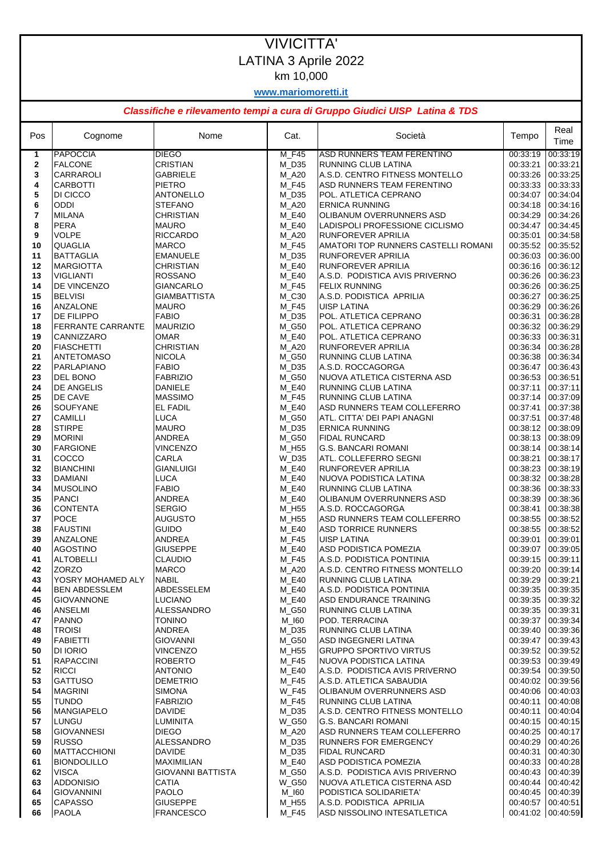## VIVICITTA' LATINA 3 Aprile 2022 km 10,000

**www.mariomoretti.it**

## *Classifiche e rilevamento tempi a cura di Gruppo Giudici UISP Latina & TDS*

| Pos          | Cognome                                   | Nome                              | Cat.                  | Società                                                      | Tempo                                   | Real<br>Time |
|--------------|-------------------------------------------|-----------------------------------|-----------------------|--------------------------------------------------------------|-----------------------------------------|--------------|
| 1            | <b>PAPOCCIA</b>                           | <b>DIEGO</b>                      | M_F45                 | ASD RUNNERS TEAM FERENTINO                                   | 00:33:19                                | 00:33:19     |
| $\mathbf{2}$ | <b>FALCONE</b>                            | <b>CRISTIAN</b>                   | $M_D35$               | RUNNING CLUB LATINA                                          | 00:33:21                                | 00:33:21     |
| 3            | CARRAROLI                                 | <b>GABRIELE</b>                   | M_A20                 | A.S.D. CENTRO FITNESS MONTELLO                               | 00:33:26 00:33:25                       |              |
| 4            | <b>CARBOTTI</b>                           | <b>PIETRO</b>                     | M F45                 | ASD RUNNERS TEAM FERENTINO                                   | 00:33:33 00:33:33                       |              |
| 5            | DI CICCO                                  | <b>ANTONELLO</b>                  | M_D35                 | POL. ATLETICA CEPRANO                                        | 00:34:07 00:34:04                       |              |
| 6            | <b>ODDI</b>                               | <b>STEFANO</b>                    | M_A20                 | <b>ERNICA RUNNING</b>                                        | 00:34:18 00:34:16                       |              |
| 7            | <b>MILANA</b>                             | <b>CHRISTIAN</b>                  | M E40                 | OLIBANUM OVERRUNNERS ASD                                     | 00:34:29 00:34:26                       |              |
| 8<br>9       | <b>PERA</b><br><b>VOLPE</b>               | <b>MAURO</b><br><b>RICCARDO</b>   | M_E40                 | LADISPOLI PROFESSIONE CICLISMO                               | 00:34:47 00:34:45<br>00:35:01 00:34:58  |              |
| 10           | <b>QUAGLIA</b>                            | <b>MARCO</b>                      | M_A20<br>M F45        | RUNFOREVER APRILIA<br>AMATORI TOP RUNNERS CASTELLI ROMANI    | 00:35:52 00:35:52                       |              |
| 11           | <b>BATTAGLIA</b>                          | <b>EMANUELE</b>                   | M_D35                 | RUNFOREVER APRILIA                                           | 00:36:03 00:36:00                       |              |
| 12           | <b>MARGIOTTA</b>                          | <b>CHRISTIAN</b>                  | M_E40                 | RUNFOREVER APRILIA                                           | 00:36:16 00:36:12                       |              |
| 13           | <b>VIGLIANTI</b>                          | <b>ROSSANO</b>                    | M_E40                 | A.S.D. PODISTICA AVIS PRIVERNO                               | 00:36:26 00:36:23                       |              |
| 14           | DE VINCENZO                               | <b>GIANCARLO</b>                  | M_F45                 | <b>FELIX RUNNING</b>                                         | 00:36:26 00:36:25                       |              |
| 15           | <b>BELVISI</b>                            | <b>GIAMBATTISTA</b>               | M_C30                 | A.S.D. PODISTICA APRILIA                                     | 00:36:27 00:36:25                       |              |
| 16           | <b>ANZALONE</b>                           | <b>MAURO</b>                      | M F45                 | <b>UISP LATINA</b>                                           | 00:36:29 00:36:26                       |              |
| 17           | <b>DE FILIPPO</b>                         | <b>FABIO</b>                      | M_D35                 | POL. ATLETICA CEPRANO                                        | 00:36:31 00:36:28                       |              |
| 18           | <b>FERRANTE CARRANTE</b>                  | <b>MAURIZIO</b>                   | M G50                 | POL. ATLETICA CEPRANO                                        | 00:36:32 00:36:29                       |              |
| 19           | CANNIZZARO                                | <b>OMAR</b>                       | M E40                 | POL. ATLETICA CEPRANO                                        | 00:36:33 00:36:31                       |              |
| 20           | <b>FIASCHETTI</b>                         | <b>CHRISTIAN</b><br><b>NICOLA</b> | M_A20                 | RUNFOREVER APRILIA                                           | 00:36:34 00:36:28                       |              |
| 21<br>22     | <b>ANTETOMASO</b><br>PARLAPIANO           | <b>FABIO</b>                      | M G50<br>M D35        | RUNNING CLUB LATINA<br>A.S.D. ROCCAGORGA                     | 00:36:38 00:36:34<br>00:36:47 00:36:43  |              |
| 23           | <b>DEL BONO</b>                           | <b>FABRIZIO</b>                   | $M_G50$               | NUOVA ATLETICA CISTERNA ASD                                  | 00:36:53 00:36:51                       |              |
| 24           | <b>DE ANGELIS</b>                         | <b>DANIELE</b>                    | $M_E40$               | RUNNING CLUB LATINA                                          | 00:37:11 00:37:11                       |              |
| 25           | DE CAVE                                   | <b>MASSIMO</b>                    | M F45                 | RUNNING CLUB LATINA                                          | 00:37:14 00:37:09                       |              |
| 26           | <b>SOUFYANE</b>                           | EL FADIL                          | M_E40                 | ASD RUNNERS TEAM COLLEFERRO                                  | 00:37:41 00:37:38                       |              |
| 27           | <b>CAMILLI</b>                            | <b>LUCA</b>                       | M_G50                 | ATL. CITTA' DEI PAPI ANAGNI                                  | 00:37:51 00:37:48                       |              |
| 28           | <b>STIRPE</b>                             | <b>MAURO</b>                      | M D35                 | <b>ERNICA RUNNING</b>                                        | 00:38:12 00:38:09                       |              |
| 29           | <b>MORINI</b>                             | <b>ANDREA</b>                     | M_G50                 | <b>FIDAL RUNCARD</b>                                         | 00:38:13 00:38:09                       |              |
| 30           | <b>FARGIONE</b>                           | <b>VINCENZO</b>                   | M_H55                 | G.S. BANCARI ROMANI                                          | 00:38:14 00:38:14                       |              |
| 31           | COCCO                                     | CARLA                             | W_D35                 | ATL. COLLEFERRO SEGNI                                        | 00:38:21 00:38:17                       |              |
| 32<br>33     | <b>BIANCHINI</b><br><b>DAMIANI</b>        | <b>GIANLUIGI</b><br><b>LUCA</b>   | M_E40<br>M_E40        | <b>RUNFOREVER APRILIA</b><br>NUOVA PODISTICA LATINA          | 00:38:23  00:38:19<br>00:38:32 00:38:28 |              |
| 34           | <b>MUSOLINO</b>                           | <b>FABIO</b>                      | M E40                 | RUNNING CLUB LATINA                                          | 00:38:36 00:38:33                       |              |
| 35           | <b>PANCI</b>                              | ANDREA                            | $M_E40$               | OLIBANUM OVERRUNNERS ASD                                     | 00:38:39 00:38:36                       |              |
| 36           | <b>CONTENTA</b>                           | <b>SERGIO</b>                     | M_H55                 | A.S.D. ROCCAGORGA                                            | 00:38:41 00:38:38                       |              |
| 37           | <b>POCE</b>                               | <b>AUGUSTO</b>                    | M H55                 | ASD RUNNERS TEAM COLLEFERRO                                  | 00:38:55  00:38:52                      |              |
| 38           | <b>FAUSTINI</b>                           | <b>GUIDO</b>                      | M_E40                 | <b>ASD TORRICE RUNNERS</b>                                   | 00:38:55 00:38:52                       |              |
| 39           | <b>ANZALONE</b>                           | <b>ANDREA</b>                     | M F45                 | <b>UISP LATINA</b>                                           | 00:39:01 00:39:01                       |              |
| 40           | <b>AGOSTINO</b>                           | <b>GIUSEPPE</b>                   | M_E40                 | ASD PODISTICA POMEZIA                                        | 00:39:07 00:39:05                       |              |
| 41           | <b>ALTOBELLI</b>                          | <b>CLAUDIO</b>                    | M_F45                 | A.S.D. PODISTICA PONTINIA                                    | 00:39:15 00:39:11                       |              |
| 42           | ZORZO                                     | <b>MARCO</b>                      | M_A20                 | A.S.D. CENTRO FITNESS MONTELLO<br><b>RUNNING CLUB LATINA</b> | 00:39:20 00:39:14<br>00:39:29 00:39:21  |              |
| 43<br>44     | YOSRY MOHAMED ALY<br><b>BEN ABDESSLEM</b> | <b>NABIL</b><br>ABDESSELEM        | M_E40<br>M_E40        | A.S.D. PODISTICA PONTINIA                                    | 00:39:35 00:39:35                       |              |
| 45           | <b>GIOVANNONE</b>                         | <b>LUCIANO</b>                    | M_E40                 | ASD ENDURANCE TRAINING                                       | 00:39:35 00:39:32                       |              |
| 46           | ANSELMI                                   | ALESSANDRO                        | M G50                 | RUNNING CLUB LATINA                                          | 00:39:35 00:39:31                       |              |
| 47           | <b>PANNO</b>                              | <b>TONINO</b>                     | $M_l$ 160             | POD. TERRACINA                                               | 00:39:37 00:39:34                       |              |
| 48           | <b>TROISI</b>                             | ANDREA                            | M D35                 | RUNNING CLUB LATINA                                          | 00:39:40 00:39:36                       |              |
| 49           | <b>FABIETTI</b>                           | <b>GIOVANNI</b>                   | M_G50                 | ASD INGEGNERI LATINA                                         | 00:39:47 00:39:43                       |              |
| 50           | <b>DI IORIO</b>                           | <b>VINCENZO</b>                   | M_H55                 | <b>GRUPPO SPORTIVO VIRTUS</b>                                | 00:39:52 00:39:52                       |              |
| 51           | <b>RAPACCINI</b>                          | <b>ROBERTO</b>                    | M F45                 | NUOVA PODISTICA LATINA                                       | 00:39:53 00:39:49                       |              |
| 52           | <b>RICCI</b>                              | <b>ANTONIO</b>                    | M_E40                 | A.S.D. PODISTICA AVIS PRIVERNO                               | 00:39:54 00:39:50                       |              |
| 53           | <b>GATTUSO</b>                            | <b>DEMETRIO</b>                   | M_F45                 | A.S.D. ATLETICA SABAUDIA                                     | 00:40:02 00:39:56                       |              |
| 54<br>55     | <b>MAGRINI</b><br><b>TUNDO</b>            | <b>SIMONA</b><br><b>FABRIZIO</b>  | <b>W_F45</b><br>M_F45 | OLIBANUM OVERRUNNERS ASD<br>RUNNING CLUB LATINA              | 00:40:06 00:40:03<br>00:40:11 00:40:08  |              |
| 56           | <b>MANGIAPELO</b>                         | <b>DAVIDE</b>                     | $M_D35$               | A.S.D. CENTRO FITNESS MONTELLO                               | 00:40:11 00:40:04                       |              |
| 57           | LUNGU                                     | <b>LUMINITA</b>                   | W_G50                 | <b>G.S. BANCARI ROMANI</b>                                   | 00:40:15 00:40:15                       |              |
| 58           | <b>GIOVANNESI</b>                         | <b>DIEGO</b>                      | M_A20                 | ASD RUNNERS TEAM COLLEFERRO                                  | 00:40:25 00:40:17                       |              |
| 59           | <b>RUSSO</b>                              | <b>ALESSANDRO</b>                 | $M_D35$               | <b>RUNNERS FOR EMERGENCY</b>                                 | 00:40:29 00:40:26                       |              |
| 60           | <b>MATTACCHIONI</b>                       | <b>DAVIDE</b>                     | M D35                 | <b>FIDAL RUNCARD</b>                                         | 00:40:31 00:40:30                       |              |
| 61           | <b>BIONDOLILLO</b>                        | MAXIMILIAN                        | M_E40                 | ASD PODISTICA POMEZIA                                        | 00:40:33 00:40:28                       |              |
| 62           | <b>VISCA</b>                              | <b>GIOVANNI BATTISTA</b>          | M_G50                 | A.S.D. PODISTICA AVIS PRIVERNO                               | 00:40:43 00:40:39                       |              |
| 63           | <b>ADDONISIO</b>                          | <b>CATIA</b>                      | <b>W_G50</b>          | NUOVA ATLETICA CISTERNA ASD                                  | 00:40:44 00:40:42                       |              |
| 64           | <b>GIOVANNINI</b>                         | <b>PAOLO</b>                      | M_I60                 | PODISTICA SOLIDARIETA'                                       | 00:40:45 00:40:39                       |              |
| 65           | <b>CAPASSO</b>                            | <b>GIUSEPPE</b>                   | M_H55                 | A.S.D. PODISTICA APRILIA                                     | 00:40:57 00:40:51                       |              |
| 66           | <b>PAOLA</b>                              | <b>FRANCESCO</b>                  | <b>M_F45</b>          | ASD NISSOLINO INTESATLETICA                                  | 00:41:02 00:40:59                       |              |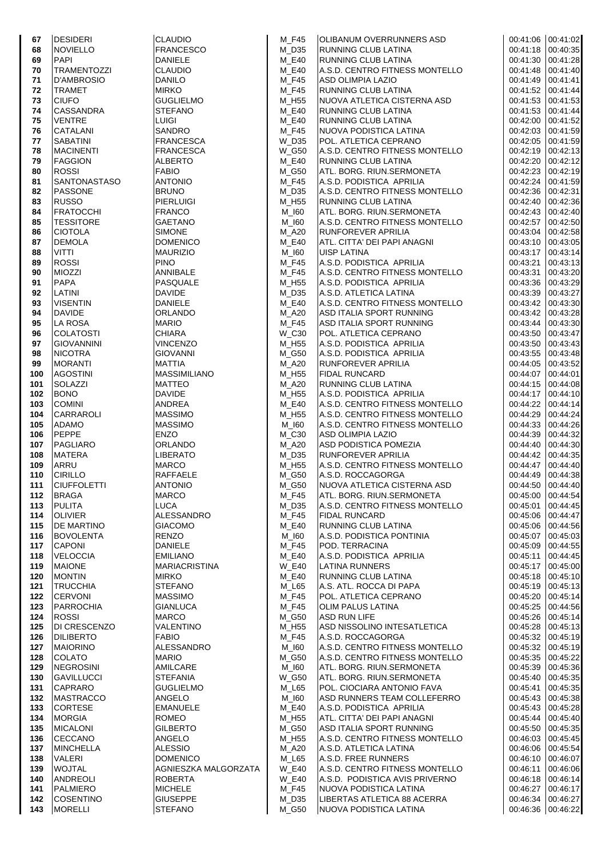| 67         | <b>DESIDERI</b>               |
|------------|-------------------------------|
| 68         | <b>NOVIELLO</b><br>PAPI       |
| 69<br>70   | TRAMENTOZZI                   |
| 71         | D'AMBROSIO                    |
| 72         | TRAMET                        |
| 73         | CIUFO                         |
| 74         | CASSANDRA                     |
| 75         | VENTRE                        |
| 76<br>77   | CATALANI<br>SABATINI          |
| 78         | <b>MACINENTI</b>              |
| 79         | FAGGION                       |
| 80         | ROSSI                         |
| 81         | SANTONASTASO                  |
| 82         | PASSONE                       |
| 83<br>84   | RUSSO<br>FRATOCCHI            |
| 85         | TESSITORE                     |
| 86         | CIOTOLA                       |
| 87         | <b>DEMOLA</b>                 |
| 88         | VITTI                         |
| 89         | <b>ROSSI</b>                  |
| 90         | <b>MIOZZI</b>                 |
| 91<br>92   | PAPA<br>LATINI                |
| 93         | VISENTIN                      |
| 94         | DAVIDE                        |
| 95         | LA ROSA                       |
| 96         | <b>COLATOSTI</b><br>C         |
| 97         | GIOVANNINI                    |
| 98<br>99   | NICOTRA<br>MORANTI            |
| 100        | AGOSTINI                      |
| 101        | SOLAZZI                       |
| 102        | BONO                          |
| 103        | COMINI                        |
| 104        | CARRAROLI                     |
| 105        | ADAMO<br>PEPPE                |
| 106<br>107 | PAGLIARO                      |
| 108        | <b>MATERA</b>                 |
| 109        | ARRU                          |
| 110        | CIRILLO                       |
| 111        | <b>IUFFOLETTI</b><br>C        |
| 112        | <b>BRAGA</b><br><b>PULITA</b> |
| 113<br>114 | <b>OLIVIER</b>                |
| 115        | DE MARTINO                    |
| 116        | <b>BOVOLENTA</b>              |
| 117        | CAPONI                        |
| 118        | VELOCCIA                      |
| 119        | <b>MAIONE</b>                 |
| 120<br>121 | MONTIN<br>TRUCCHIA            |
| 122        | CERVONI                       |
| 123        | PARROCHIA                     |
| 124        | <b>ROSSI</b>                  |
| 125        | DI CRESCENZO                  |
| 126        | <b>DILIBERTO</b>              |
| 127<br>128 | <b>MAIORINO</b><br>COLATO     |
| 129        | NEGROSINI                     |
| 130        | GAVILLUCCI                    |
| 131        | CAPRARO                       |
| 132        | MASTRACCO                     |
| 133        | CORTESE                       |
| 134<br>135 | MORGIA<br>MICALONI            |
| 136        | CECCANO                       |
| 137        | MINCHELLA                     |
| 138        | VALERI                        |
| 139        | WOJTAL                        |
| 140        | ANDREOLI                      |
| 141<br>142 | <b>PALMIERO</b><br>COSENTINO  |
| 143        | <b>MORELLI</b>                |
|            |                               |

| <b>LAUDIO</b>                          |
|----------------------------------------|
| RANCESCO<br><b>ANIELE</b>              |
| <b>LAUDI</b><br>)                      |
| <b>ANILO</b><br>11RKO                  |
| <b>SUGLIELMO</b>                       |
| <b>TEFANO</b>                          |
| UIGI<br><b>ANDRO</b>                   |
| RANCESCA                               |
| RANCESCA                               |
| LBERTO<br><b>ABIO</b>                  |
| <b>NTONIO</b>                          |
| RUNO                                   |
| <b>IERLUIGI</b><br>RANCO               |
| <b>AETANO</b>                          |
| imone                                  |
| <b>OMENICO</b><br><b>AURIZIO</b>       |
| <b>INO</b>                             |
| <b>NNIBALE</b>                         |
| <b>ASQUALE</b><br><b>AVIDE</b>         |
| <b>ANIELE</b>                          |
| <b>RLANDO</b>                          |
| 1ARIO<br><b>HIARA</b>                  |
| <b>INCENZO</b>                         |
| <b>SIOVANNI</b>                        |
| <b>ATTIA</b><br><b>IASSIMILIANO</b>    |
| 1ATTEO                                 |
| AVIDE                                  |
| <b>NDREA</b><br>1ASSIMO                |
| 1ASSIMO                                |
| <b>NZO</b>                             |
| RLANDO<br><b>IBERATO</b>               |
| <b>IARCO</b>                           |
| AFFAELE                                |
| <b>NTONIO</b><br><b>IARCO</b>          |
| <b>UCA</b>                             |
| LESSANDRO<br><b>GIACOMO</b>            |
| <b>ENZO</b>                            |
| <b>ANIELE</b>                          |
| <b>MILIANO</b><br><b>IARIACRISTINA</b> |
| 1IRKO                                  |
| <b>TEFANO</b>                          |
| 1ASSIMO<br><b>SIANLUCA</b>             |
| <b>IARCO</b>                           |
| <b>ALENTINO</b>                        |
| <b>ABIO</b><br>LESSANDRO               |
| <b>IARIO</b>                           |
| <b>MILCARE</b>                         |
| TEFANIA<br><b>SUGLIELMO</b>            |
| <b>NGELO</b>                           |
| <b>MANUELE</b>                         |
| OMEO:<br><b>ILBERTO</b>                |
| <b>NGELO</b>                           |
| LESSIO                                 |
|                                        |
| <b>OMENICO</b>                         |
| GNIESZKA MALO<br><b>OBERTA</b>         |
| <b>IICHELE</b><br><b>HUSEPPE</b>       |

| 67         | <b>DESIDERI</b>                     | <b>CLAUDIO</b>                      | M_F45          | <b>OLIBANUM OVERRUNNERS ASD</b>                                  | 00:41:06 00:41:02                      |                      |
|------------|-------------------------------------|-------------------------------------|----------------|------------------------------------------------------------------|----------------------------------------|----------------------|
| 68         | <b>NOVIELLO</b>                     | <b>FRANCESCO</b>                    | M_D35          | RUNNING CLUB LATINA                                              | 00:41:18 00:40:35                      |                      |
| 69         | PAPI                                | <b>DANIELE</b>                      | M E40          | RUNNING CLUB LATINA                                              | 00:41:30  00:41:28                     |                      |
| 70         | <b>TRAMENTOZZI</b>                  | <b>CLAUDIO</b>                      | M E40          | A.S.D. CENTRO FITNESS MONTELLO                                   | 00:41:48 00:41:40                      |                      |
| 71         | D'AMBROSIO                          | DANILO                              | M_F45          | ASD OLIMPIA LAZIO                                                | 00:41:49 00:41:41                      |                      |
| 72<br>73   | <b>TRAMET</b><br><b>CIUFO</b>       | <b>MIRKO</b><br><b>GUGLIELMO</b>    | M F45<br>M H55 | RUNNING CLUB LATINA<br>NUOVA ATLETICA CISTERNA ASD               | 00:41:52 00:41:44<br>00:41:53 00:41:53 |                      |
| 74         | <b>CASSANDRA</b>                    | <b>STEFANO</b>                      | M E40          | RUNNING CLUB LATINA                                              | 00:41:53  00:41:44                     |                      |
| 75         | <b>VENTRE</b>                       | <b>LUIGI</b>                        | M E40          | RUNNING CLUB LATINA                                              | 00:42:00 00:41:52                      |                      |
| 76         | CATALANI                            | <b>SANDRO</b>                       | M F45          | NUOVA PODISTICA LATINA                                           | 00:42:03 00:41:59                      |                      |
| 77         | <b>SABATINI</b>                     | <b>FRANCESCA</b>                    | W D35          | POL. ATLETICA CEPRANO                                            | 00:42:05  00:41:59                     |                      |
| 78         | <b>MACINENTI</b>                    | <b>FRANCESCA</b>                    | <b>W_G50</b>   | A.S.D. CENTRO FITNESS MONTELLO                                   | 00:42:19 00:42:13                      |                      |
| 79         | <b>FAGGION</b>                      | <b>ALBERTO</b>                      | M E40          | <b>RUNNING CLUB LATINA</b>                                       | 00:42:20                               | 00:42:12             |
| 80         | <b>ROSSI</b>                        | <b>FABIO</b>                        | M_G50          | ATL. BORG. RIUN.SERMONETA                                        | 00:42:23 00:42:19                      |                      |
| 81         | <b>SANTONASTASO</b>                 | <b>ANTONIO</b>                      | $M_F45$        | A.S.D. PODISTICA APRILIA                                         | 00:42:24 00:41:59                      |                      |
| 82         | <b>PASSONE</b>                      | <b>BRUNO</b>                        | M D35          | A.S.D. CENTRO FITNESS MONTELLO                                   | 00:42:36 00:42:31                      |                      |
| 83         | <b>RUSSO</b>                        | <b>PIERLUIGI</b>                    | M_H55          | RUNNING CLUB LATINA                                              | 00:42:40 00:42:36                      |                      |
| 84         | <b>FRATOCCHI</b>                    | <b>FRANCO</b>                       | M_I60          | ATL. BORG. RIUN.SERMONETA                                        | 00:42:43 00:42:40                      |                      |
| 85         | <b>TESSITORE</b>                    | <b>GAETANO</b>                      | M_I60          | A.S.D. CENTRO FITNESS MONTELLO                                   | 00:42:57 00:42:50                      |                      |
| 86         | <b>CIOTOLA</b>                      | <b>SIMONE</b>                       | M_A20          | RUNFOREVER APRILIA<br>ATL. CITTA' DEI PAPI ANAGNI                | 00:43:04 00:42:58                      |                      |
| 87<br>88   | <b>DEMOLA</b><br><b>VITTI</b>       | <b>DOMENICO</b><br><b>MAURIZIO</b>  | M_E40<br>M 160 | <b>UISP LATINA</b>                                               | 00:43:10 00:43:05<br>00:43:17 00:43:14 |                      |
| 89         | <b>ROSSI</b>                        | <b>PINO</b>                         | M_F45          | A.S.D. PODISTICA APRILIA                                         | 00:43:21                               | 00:43:13             |
| 90         | <b>MIOZZI</b>                       | <b>ANNIBALE</b>                     | $M_F45$        | A.S.D. CENTRO FITNESS MONTELLO                                   | 00:43:31 00:43:20                      |                      |
| 91         | <b>PAPA</b>                         | PASQUALE                            | M H55          | A.S.D. PODISTICA APRILIA                                         | 00:43:36                               | 00:43:29             |
| 92         | LATINI                              | <b>DAVIDE</b>                       | M_D35          | A.S.D. ATLETICA LATINA                                           | 00:43:39 00:43:27                      |                      |
| 93         | <b>VISENTIN</b>                     | <b>DANIELE</b>                      | M E40          | A.S.D. CENTRO FITNESS MONTELLO                                   | 00:43:42 00:43:30                      |                      |
| 94         | <b>DAVIDE</b>                       | <b>ORLANDO</b>                      | M_A20          | ASD ITALIA SPORT RUNNING                                         | 00:43:42 00:43:28                      |                      |
| 95         | LA ROSA                             | <b>MARIO</b>                        | <b>M_F45</b>   | ASD ITALIA SPORT RUNNING                                         | 00:43:44 00:43:30                      |                      |
| 96         | <b>COLATOSTI</b>                    | <b>CHIARA</b>                       | W_C30          | POL. ATLETICA CEPRANO                                            | 00:43:50 00:43:47                      |                      |
| 97         | <b>GIOVANNINI</b>                   | <b>VINCENZO</b>                     | M_H55          | A.S.D. PODISTICA APRILIA                                         | 00:43:50                               | 00:43:43             |
| 98         | <b>NICOTRA</b>                      | <b>GIOVANNI</b>                     | M_G50          | A.S.D. PODISTICA APRILIA                                         | 00:43:55 00:43:48                      |                      |
| 99         | <b>MORANTI</b>                      | <b>MATTIA</b>                       | M_A20          | RUNFOREVER APRILIA                                               | 00:44:05 00:43:52                      |                      |
| 100        | <b>AGOSTINI</b>                     | <b>MASSIMILIANO</b>                 | M H55          | <b>FIDAL RUNCARD</b>                                             | 00:44:07 00:44:01                      |                      |
| 101        | <b>SOLAZZI</b><br><b>BONO</b>       | <b>MATTEO</b><br><b>DAVIDE</b>      | M_A20          | <b>RUNNING CLUB LATINA</b>                                       | 00:44:15 00:44:08<br>00:44:17 00:44:10 |                      |
| 102<br>103 | <b>COMINI</b>                       | ANDREA                              | M H55<br>M_E40 | A.S.D. PODISTICA APRILIA<br>A.S.D. CENTRO FITNESS MONTELLO       | 00:44:22 00:44:14                      |                      |
| 104        | <b>CARRAROLI</b>                    | <b>MASSIMO</b>                      | M_H55          | A.S.D. CENTRO FITNESS MONTELLO                                   | 00:44:29 00:44:24                      |                      |
| 105        | <b>ADAMO</b>                        | <b>MASSIMO</b>                      | M 160          | A.S.D. CENTRO FITNESS MONTELLO                                   | 00:44:33 00:44:26                      |                      |
| 106        | PEPPE                               | <b>ENZO</b>                         | M_C30          | ASD OLIMPIA LAZIO                                                | 00:44:39 00:44:32                      |                      |
| 107        | PAGLIARO                            | <b>ORLANDO</b>                      | M_A20          | ASD PODISTICA POMEZIA                                            | 00:44:40 00:44:30                      |                      |
| 108        | <b>MATERA</b>                       | LIBERATO                            | M_D35          | <b>RUNFOREVER APRILIA</b>                                        | 00:44:42 00:44:35                      |                      |
| 109        | ARRU                                | <b>MARCO</b>                        | M_H55          | A.S.D. CENTRO FITNESS MONTELLO                                   | 00:44:47 00:44:40                      |                      |
| 110        | <b>CIRILLO</b>                      | <b>RAFFAELE</b>                     | M_G50          | A.S.D. ROCCAGORGA                                                | 00:44:49 00:44:38                      |                      |
| 111        | <b>CIUFFOLETTI</b>                  | <b>ANTONIO</b>                      | M_G50          | NUOVA ATLETICA CISTERNA ASD                                      | 00:44:50 00:44:40                      |                      |
| 112        | <b>BRAGA</b>                        | <b>MARCO</b>                        | M_F45          | ATL. BORG. RIUN.SERMONETA                                        | 00:45:00                               | 00:44:54             |
| 113        | <b>PULITA</b>                       | <b>LUCA</b>                         | $M_D35$        | A.S.D. CENTRO FITNESS MONTELLO                                   | 00:45:01                               | 00:44:45             |
| 114<br>115 | <b>OLIVIER</b><br><b>DE MARTINO</b> | <b>ALESSANDRO</b><br><b>GIACOMO</b> | M F45<br>M_E40 | <b>FIDAL RUNCARD</b><br><b>RUNNING CLUB LATINA</b>               | 00:45:06<br>00:45:06                   | 00:44:47<br>00:44:56 |
| 116        | <b>BOVOLENTA</b>                    | <b>RENZO</b>                        | M 160          | A.S.D. PODISTICA PONTINIA                                        | 00:45:07                               | 00:45:03             |
| 117        | <b>CAPONI</b>                       | <b>DANIELE</b>                      | M_F45          | POD. TERRACINA                                                   | 00:45:09                               | 00:44:55             |
| 118        | <b>VELOCCIA</b>                     | <b>EMILIANO</b>                     | M_E40          | A.S.D. PODISTICA APRILIA                                         | 00:45:11                               | 00:44:45             |
| 119        | <b>MAIONE</b>                       | <b>MARIACRISTINA</b>                | <b>W E40</b>   | <b>LATINA RUNNERS</b>                                            | 00:45:17                               | 00:45:00             |
| 120        | <b>MONTIN</b>                       | <b>MIRKO</b>                        | M_E40          | <b>RUNNING CLUB LATINA</b>                                       | 00:45:18                               | 00:45:10             |
| 121        | <b>TRUCCHIA</b>                     | <b>STEFANO</b>                      | M L65          | A.S. ATL. ROCCA DI PAPA                                          | 00:45:19                               | 00:45:13             |
| 122        | <b>CERVONI</b>                      | <b>MASSIMO</b>                      | M_F45          | POL. ATLETICA CEPRANO                                            | 00:45:20                               | 00:45:14             |
| 123        | <b>PARROCHIA</b>                    | <b>GIANLUCA</b>                     | M F45          | <b>OLIM PALUS LATINA</b>                                         | 00:45:25                               | 00:44:56             |
| 124        | ROSSI                               | <b>MARCO</b>                        | M_G50          | ASD RUN LIFE                                                     | 00:45:26                               | 00:45:14             |
| 125        | <b>DI CRESCENZO</b>                 | VALENTINO                           | M H55          | ASD NISSOLINO INTESATLETICA                                      | 00:45:28                               | 00:45:13             |
| 126        | <b>DILIBERTO</b>                    | <b>FABIO</b>                        | M F45          | A.S.D. ROCCAGORGA                                                | 00:45:32                               | 00:45:19             |
| 127<br>128 | <b>MAIORINO</b><br><b>COLATO</b>    | <b>ALESSANDRO</b><br><b>MARIO</b>   | M_I60<br>M_G50 | A.S.D. CENTRO FITNESS MONTELLO<br>A.S.D. CENTRO FITNESS MONTELLO | 00:45:32<br>00:45:35                   | 00:45:19<br>00:45:22 |
| 129        | <b>NEGROSINI</b>                    | AMILCARE                            | M_I60          | ATL. BORG. RIUN.SERMONETA                                        | 00:45:39                               | 00:45:36             |
| 130        | <b>GAVILLUCCI</b>                   | <b>STEFANIA</b>                     | <b>W_G50</b>   | ATL. BORG. RIUN.SERMONETA                                        | 00:45:40                               | 00:45:35             |
| 131        | <b>CAPRARO</b>                      | <b>GUGLIELMO</b>                    | M_L65          | POL. CIOCIARA ANTONIO FAVA                                       | 00:45:41                               | 00:45:35             |
| 132        | <b>MASTRACCO</b>                    | ANGELO                              | M 160          | ASD RUNNERS TEAM COLLEFERRO                                      | 00:45:43                               | 00:45:38             |
| 133        | <b>CORTESE</b>                      | <b>EMANUELE</b>                     | M_E40          | A.S.D. PODISTICA APRILIA                                         | 00:45:43                               | 00:45:28             |
| 134        | <b>MORGIA</b>                       | <b>ROMEO</b>                        | M_H55          | ATL. CITTA' DEI PAPI ANAGNI                                      | 00:45:44                               | 00:45:40             |
| 135        | <b>MICALONI</b>                     | <b>GILBERTO</b>                     | M G50          | ASD ITALIA SPORT RUNNING                                         | 00:45:50                               | 00:45:35             |
| 136        | <b>CECCANO</b>                      | <b>ANGELO</b>                       | M_H55          | A.S.D. CENTRO FITNESS MONTELLO                                   | 00:46:03                               | 00:45:45             |
| 137        | <b>MINCHELLA</b>                    | <b>ALESSIO</b>                      | M_A20          | A.S.D. ATLETICA LATINA                                           | 00:46:06                               | 00:45:54             |
| 138        | <b>VALERI</b>                       | <b>DOMENICO</b>                     | M L65          | A.S.D. FREE RUNNERS                                              | 00:46:10                               | 00:46:07             |
| 139        | <b>WOJTAL</b>                       | AGNIESZKA MALGORZATA                | <b>W_E40</b>   | A.S.D. CENTRO FITNESS MONTELLO                                   | 00:46:11                               | 00:46:06             |
| 140        | <b>ANDREOLI</b>                     | <b>ROBERTA</b>                      | <b>W_E40</b>   | A.S.D. PODISTICA AVIS PRIVERNO                                   | 00:46:18                               | 00:46:14             |
| 141        | <b>PALMIERO</b>                     | <b>MICHELE</b>                      | M F45          | NUOVA PODISTICA LATINA                                           | 00:46:27                               | 00:46:17<br>00:46:27 |
| 142<br>143 | <b>COSENTINO</b><br><b>MORELLI</b>  | <b>GIUSEPPE</b><br><b>STEFANO</b>   | M_D35<br>M_G50 | LIBERTAS ATLETICA 88 ACERRA<br>NUOVA PODISTICA LATINA            | 00:46:34<br>00:46:36                   | 00:46:22             |
|            |                                     |                                     |                |                                                                  |                                        |                      |

| 00:41:06             | 00:41:02             |
|----------------------|----------------------|
| 00:41:18<br>00:41:30 | 00:40:35<br>00:41:28 |
| 00:41:48             | 00:41:40             |
| 00:41:49             | 00:41:41             |
| 00:41:52             | 00:41:44             |
| 00:41:53             | 00:41:53             |
| 00.41.53             | 00:41:44             |
| 00:42:00             | 00:41:52             |
| 00:42:03             | 00:41:59             |
| 00:42:05<br>00:42:19 | 00:41:59<br>00:42:13 |
| 00:42:20             | 00:42:12             |
| 00:42:23             | 00:42:19             |
| 00:42:24             | 00:41:59             |
| 00:42:36             | 00:42:31             |
| 00:42:40             | 00:42:36             |
| 00:42:43             | 00:42:40             |
| 00:42:57<br>00:43:04 | 00:42:50<br>00:42:58 |
| 00:43:10             | 00:43:05             |
| 00:43:17             | 00:43:14             |
| 00:43:21             | 00:43:13             |
| 00:43:31             | 00:43:20             |
| 00:43:36             | 00:43:29             |
| 00:43:39             | 00:43:27             |
| 00:43:42             | 00:43:30             |
| 00:43:42<br>00:43:44 | 00:43:28<br>00:43:30 |
| 00:43:50             | 00:43:47             |
| 00:43:50             | 00:43:43             |
| 00:43:55             | 00:43:48             |
| 00:44:05             | 00:43:52             |
| 00:44:07             | 00:44:01             |
| 00:44:15             | 00:44:08             |
| 00:44:17             | 00:44:10             |
| 00:44:22<br>00:44:29 | 00:44:14<br>00:44:24 |
| 00:44:33             | 00:44:26             |
| 00:44:39             | 00:44:32             |
| 00:44:40             | 00:44:30             |
| 00:44:42             | 00:44:35             |
| 00:44:47             | 00:44:40             |
| 00:44:49             | 00:44:38             |
| 00:44:50             | 00:44:40             |
| 00:45:00<br>00:45:01 | 00:44.54<br>00:44:45 |
| 00:45:06             | 00:44:47             |
| 00:45:06             | 00:44:56             |
| 00:45:07             | 00:45:03             |
| 00:45:09             | 00:44:55             |
| 00:45:11             | 00:44:45             |
| 00:45:17             | 00:45:00             |
| 00:45:18             | 00:45:10             |
| 00:45:19<br>00:45:20 | 00:45:13<br>00:45:14 |
| 00:45:25             | 00:44:56             |
| 00:45:26             | 00:45:14             |
| 00:45:28             | 00:45:13             |
| 00:45:32             | 00:45:19             |
| 00:45:32             | 00:45:19             |
| 00:45:35             | 00:45:22             |
| 00:45:39             | 00:45:36             |
| 00:45:40<br>00:45:41 | 00:45:35<br>00:45:35 |
|                      |                      |
|                      |                      |
| 00:45:43<br>00:45:43 | 00:45:38<br>00:45:28 |
| 00:45:44             | 00:45:40             |
| 00:45:50             | 00:45:35             |
| 00:46:03             | 00:45:45             |
| 00:46:06             | 00:45:54             |
| 00:46:10             | 00:46:07             |
| 00:46:11             | 00:46:06             |
| 00:46:18             | 00:46:14             |
| 00:46:27<br>00:46:34 | 00:46:17<br>00:46:27 |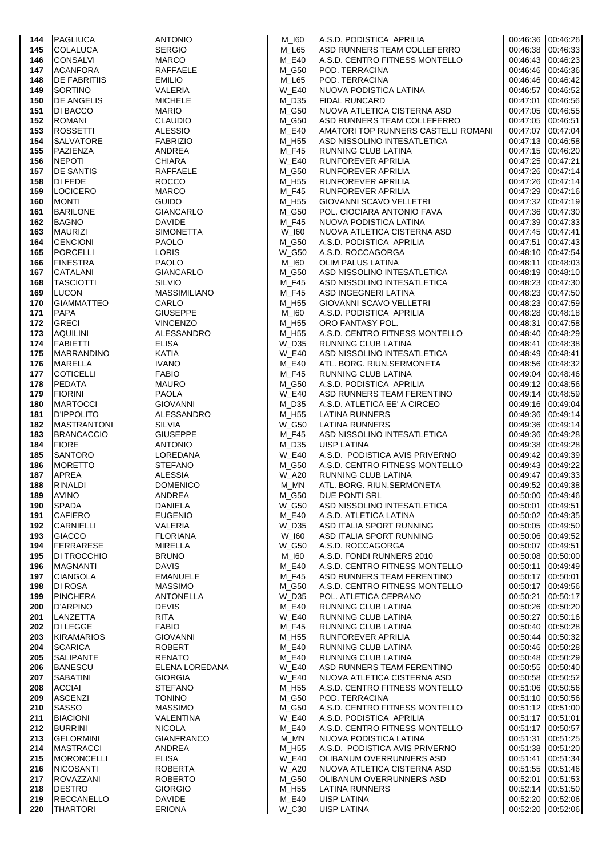| 144        | PAGLIUCA                           | <b>ANTONIO</b>                         | M_I60                 | A.S.D. PODISTICA APRILIA                                 | 00:46:36  00:46:26            |                      |
|------------|------------------------------------|----------------------------------------|-----------------------|----------------------------------------------------------|-------------------------------|----------------------|
| 145        | <b>COLALUCA</b>                    | <b>SERGIO</b>                          | M_L65                 | ASD RUNNERS TEAM COLLEFERRO                              | 00:46:38                      | 00:46:33             |
| 146        | <b>CONSALVI</b>                    | <b>MARCO</b>                           | M_E40                 | A.S.D. CENTRO FITNESS MONTELLO                           | 00:46:43 00:46:23             |                      |
| 147        | <b>ACANFORA</b>                    | <b>RAFFAELE</b>                        | M G50                 | <b>POD. TERRACINA</b>                                    | 00:46:46                      | 00:46:36             |
| 148        | <b>DE FABRITIIS</b>                | <b>EMILIO</b>                          | M_L65                 | <b>POD. TERRACINA</b>                                    | 00:46:46                      | 00:46:42             |
| 149        | <b>SORTINO</b>                     | <b>VALERIA</b>                         | <b>W_E40</b>          | NUOVA PODISTICA LATINA                                   | 00:46:57 00:46:52             |                      |
| 150        | <b>DE ANGELIS</b>                  | <b>MICHELE</b>                         | M_D35                 | <b>FIDAL RUNCARD</b>                                     | 00:47:01                      | 00:46:56             |
| 151        | DI BACCO                           | <b>MARIO</b>                           | M_G50                 | NUOVA ATLETICA CISTERNA ASD                              | 00:47:05                      | 00:46:55             |
| 152        | <b>ROMANI</b>                      | <b>CLAUDIO</b>                         | M G50                 | ASD RUNNERS TEAM COLLEFERRO                              | 00:47:05 00:46:51             |                      |
| 153        | <b>ROSSETTI</b>                    | <b>ALESSIO</b>                         | M E40                 | AMATORI TOP RUNNERS CASTELLI ROMANI                      | 00:47:07                      | 00:47:04             |
| 154        | <b>SALVATORE</b>                   | <b>FABRIZIO</b><br><b>ANDREA</b>       | M_H55                 | ASD NISSOLINO INTESATLETICA                              | 00:47:13<br>00:47:15 00:46:20 | 00:46:58             |
| 155        | <b>PAZIENZA</b><br><b>NEPOTI</b>   |                                        | M F45                 | <b>RUNNING CLUB LATINA</b>                               |                               |                      |
| 156<br>157 | <b>DE SANTIS</b>                   | <b>CHIARA</b><br><b>RAFFAELE</b>       | <b>W_E40</b><br>M_G50 | <b>RUNFOREVER APRILIA</b><br><b>RUNFOREVER APRILIA</b>   | 00:47:25<br>00:47:26 00:47:14 | 00:47:21             |
| 158        | <b>DI FEDE</b>                     | <b>ROCCO</b>                           | M_H55                 | RUNFOREVER APRILIA                                       | 00:47:26  00:47:14            |                      |
| 159        | <b>LOCICERO</b>                    | <b>MARCO</b>                           | M F45                 | <b>RUNFOREVER APRILIA</b>                                | 00:47:29                      | 00:47:16             |
| 160        | <b>MONTI</b>                       | <b>GUIDO</b>                           | M_H55                 | <b>GIOVANNI SCAVO VELLETRI</b>                           | 00:47:32 00:47:19             |                      |
| 161        | <b>BARILONE</b>                    | <b>GIANCARLO</b>                       | M G50                 | POL. CIOCIARA ANTONIO FAVA                               | 00:47:36 00:47:30             |                      |
| 162        | <b>BAGNO</b>                       | <b>DAVIDE</b>                          | M_F45                 | NUOVA PODISTICA LATINA                                   | 00:47:39                      | 00:47:33             |
| 163        | <b>MAURIZI</b>                     | <b>SIMONETTA</b>                       | W_I60                 | INUOVA ATLETICA CISTERNA ASD                             | 00:47:45                      | 00:47:41             |
| 164        | <b>CENCIONI</b>                    | <b>PAOLO</b>                           | M_G50                 | A.S.D. PODISTICA APRILIA                                 | 00:47:51 00:47:43             |                      |
| 165        | <b>PORCELLI</b>                    | LORIS                                  | W_G50                 | A.S.D. ROCCAGORGA                                        | 00:48:10                      | 00:47:54             |
| 166        | <b>FINESTRA</b>                    | <b>PAOLO</b>                           | M_I60                 | OLIM PALUS LATINA                                        | 00:48:11                      | 00:48:03             |
| 167        | <b>CATALANI</b>                    | <b>GIANCARLO</b>                       | M_G50                 | ASD NISSOLINO INTESATLETICA                              | 00:48:19 00:48:10             |                      |
| 168        | <b>TASCIOTTI</b>                   | <b>SILVIO</b>                          | M F45                 | ASD NISSOLINO INTESATLETICA                              | 00:48:23                      | 00:47:30             |
| 169        | <b>LUCON</b>                       | <b>MASSIMILIANO</b>                    | M_F45                 | ASD INGEGNERI LATINA                                     | 00:48:23                      | 00:47:50             |
| 170        | <b>GIAMMATTEO</b>                  | <b>CARLO</b>                           | M H55                 | GIOVANNI SCAVO VELLETRI                                  | 00:48:23                      | 00:47:59             |
| 171        | <b>PAPA</b>                        | <b>GIUSEPPE</b>                        | M_I60                 | A.S.D. PODISTICA APRILIA                                 | 00:48:28                      | 00:48:18             |
| 172        | <b>GRECI</b>                       | <b>VINCENZO</b>                        | M H55                 | <b>ORO FANTASY POL.</b>                                  | 00:48:31                      | 00:47:58             |
| 173        | <b>AQUILINI</b>                    | <b>ALESSANDRO</b>                      | M_H55                 | A.S.D. CENTRO FITNESS MONTELLO                           | 00:48:40                      | 00:48:29             |
| 174        | <b>FABIETTI</b>                    | <b>ELISA</b>                           | W_D35                 | <b>RUNNING CLUB LATINA</b>                               | 00:48:41                      | 00:48:38             |
| 175        | <b>MARRANDINO</b>                  | <b>KATIA</b>                           | <b>W E40</b>          | ASD NISSOLINO INTESATLETICA                              | 00:48:49                      | 00:48:41             |
| 176        | MARELLA                            | <b>IVANO</b>                           | M E40                 | ATL. BORG. RIUN.SERMONETA                                | 00:48:56 00:48:32             |                      |
| 177        | <b>COTICELLI</b>                   | <b>FABIO</b>                           | M F45                 | <b>RUNNING CLUB LATINA</b>                               | 00:49:04                      | 00:48:46             |
| 178        | <b>PEDATA</b>                      | <b>MAURO</b>                           | M_G50                 | A.S.D. PODISTICA APRILIA                                 | 00:49:12 00:48:56             |                      |
| 179        | <b>FIORINI</b>                     | <b>PAOLA</b>                           | W E40                 | ASD RUNNERS TEAM FERENTINO                               | 00:49:14                      | 00:48:59             |
| 180        | <b>MARTOCCI</b>                    | <b>GIOVANNI</b>                        | M_D35                 | A.S.D. ATLETICA EE' A CIRCEO                             | 00:49:16                      | 00:49:04             |
| 181        | <b>D'IPPOLITO</b>                  | ALESSANDRO                             | M_H55                 | <b>LATINA RUNNERS</b>                                    | 00:49:36  00:49:14            |                      |
| 182        | <b>MASTRANTONI</b>                 | <b>SILVIA</b>                          | W G50                 | LATINA RUNNERS                                           | 00:49:36 00:49:14             |                      |
| 183        | <b>BRANCACCIO</b><br><b>FIORE</b>  | <b>GIUSEPPE</b>                        | M_F45                 | ASD NISSOLINO INTESATLETICA                              | 00:49:36<br>00:49:38          | 00:49:28<br>00:49:28 |
| 184<br>185 | <b>SANTORO</b>                     | <b>ANTONIO</b><br>LOREDANA             | M D35<br>W E40        | <b>UISP LATINA</b><br>A.S.D. PODISTICA AVIS PRIVERNO     | 00:49:42 00:49:39             |                      |
| 186        | <b>MORETTO</b>                     | <b>STEFANO</b>                         | M G50                 | A.S.D. CENTRO FITNESS MONTELLO                           | 00:49:43                      | 00:49:22             |
| 187        | APREA                              | ALESSIA                                | W_A20                 | <b>RUNNING CLUB LATINA</b>                               | 00:49:47 00:49:33             |                      |
| 188        | <b>RINALDI</b>                     | <b>DOMENICO</b>                        | M MN                  | ATL. BORG. RIUN.SERMONETA                                | 00:49:52 00:49:38             |                      |
| 189        | <b>AVINO</b>                       | ANDREA                                 | M_G50                 | <b>DUE PONTI SRL</b>                                     | 00:50:00 00:49:46             |                      |
| 190        | <b>SPADA</b>                       | <b>DANIELA</b>                         | W_G50                 | ASD NISSOLINO INTESATLETICA                              | 00:50:01                      | 00:49:51             |
| 191        | <b>CAFIERO</b>                     | <b>EUGENIO</b>                         | M E40                 | A.S.D. ATLETICA LATINA                                   | 00:50:02                      | 00:49:35             |
| 192        | CARNIELLI                          | <b>VALERIA</b>                         | W_D35                 | ASD ITALIA SPORT RUNNING                                 | 00:50:05                      | 00:49:50             |
| 193        | <b>GIACCO</b>                      | <b>FLORIANA</b>                        | $W_l$ 160             | ASD ITALIA SPORT RUNNING                                 | 00:50:06                      | 00:49:52             |
| 194        | <b>FERRARESE</b>                   | <b>MIRELLA</b>                         | <b>W G50</b>          | A.S.D. ROCCAGORGA                                        | 00:50:07                      | 00:49:51             |
| 195        | DI TROCCHIO                        | <b>BRUNO</b>                           | M_I60                 | A.S.D. FONDI RUNNERS 2010                                | 00:50:08                      | 00:50:00             |
| 196        | <b>MAGNANTI</b>                    | <b>DAVIS</b>                           | M E40                 | A.S.D. CENTRO FITNESS MONTELLO                           | 00:50:11                      | 00:49:49             |
| 197        | <b>CIANGOLA</b>                    | <b>EMANUELE</b>                        | M F45                 | ASD RUNNERS TEAM FERENTINO                               | 00:50:17                      | 00:50:01             |
| 198        | DI ROSA                            | <b>MASSIMO</b>                         | M_G50                 | A.S.D. CENTRO FITNESS MONTELLO                           | 00:50:17                      | 00:49:56             |
| 199        | <b>PINCHERA</b>                    | <b>ANTONELLA</b>                       | W_D35                 | POL. ATLETICA CEPRANO                                    | 00:50:21                      | 00:50:17             |
| 200        | D'ARPINO                           | <b>DEVIS</b>                           | M E40                 | <b>RUNNING CLUB LATINA</b>                               | 00:50:26                      | 00:50:20             |
| 201        | LANZETTA                           | <b>RITA</b>                            | <b>W_E40</b>          | <b>RUNNING CLUB LATINA</b>                               | 00:50:27                      | 00:50:16             |
| 202        | <b>DI LEGGE</b>                    | <b>FABIO</b>                           | M F45                 | RUNNING CLUB LATINA                                      | 00:50:40                      | 00:50:28             |
| 203        | <b>KIRAMARIOS</b>                  | <b>GIOVANNI</b>                        | M H55                 | <b>RUNFOREVER APRILIA</b>                                | 00:50:44                      | 00:50:32             |
| 204        | <b>SCARICA</b>                     | <b>ROBERT</b>                          | M_E40                 | RUNNING CLUB LATINA                                      | 00:50:46                      | 00:50:28             |
| 205<br>206 | <b>SALIPANTE</b><br><b>BANESCU</b> | <b>RENATO</b><br><b>ELENA LOREDANA</b> | M E40<br><b>W_E40</b> | <b>RUNNING CLUB LATINA</b><br>ASD RUNNERS TEAM FERENTINO | 00:50:48<br>00:50:55          | 00:50:29<br>00:50:40 |
| 207        | <b>SABATINI</b>                    | <b>GIORGIA</b>                         | <b>W E40</b>          | NUOVA ATLETICA CISTERNA ASD                              | 00:50:58                      | 00:50:52             |
| 208        | <b>ACCIAI</b>                      | <b>STEFANO</b>                         | M_H55                 | A.S.D. CENTRO FITNESS MONTELLO                           | 00:51:06                      | 00:50:56             |
| 209        | ASCENZI                            | <b>TONINO</b>                          | M G50                 | POD. TERRACINA                                           | 00:51:10                      | 00:50:56             |
| 210        | <b>SASSO</b>                       | <b>MASSIMO</b>                         | M_G50                 | A.S.D. CENTRO FITNESS MONTELLO                           | 00:51:12                      | 00:51:00             |
| 211        | <b>BIACIONI</b>                    | <b>VALENTINA</b>                       | <b>W_E40</b>          | A.S.D. PODISTICA APRILIA                                 | 00:51:17                      | 00:51:01             |
| 212        | <b>BURRINI</b>                     | <b>NICOLA</b>                          | M E40                 | A.S.D. CENTRO FITNESS MONTELLO                           | 00:51:17                      | 00:50:57             |
| 213        | <b>GELORMINI</b>                   | <b>GIANFRANCO</b>                      | M_MN                  | NUOVA PODISTICA LATINA                                   | 00:51:31                      | 00:51:25             |
| 214        | <b>MASTRACCI</b>                   | ANDREA                                 | M H55                 | A.S.D. PODISTICA AVIS PRIVERNO                           | 00:51:38                      | 00:51:20             |
| 215        | <b>MORONCELLI</b>                  | <b>ELISA</b>                           | <b>W_E40</b>          | <b>OLIBANUM OVERRUNNERS ASD</b>                          | 00:51:41                      | 00:51:34             |
| 216        | <b>NICOSANTI</b>                   | <b>ROBERTA</b>                         | <b>W_A20</b>          | NUOVA ATLETICA CISTERNA ASD                              | 00:51:55                      | 00:51:46             |
| 217        | <b>ROVAZZANI</b>                   | <b>ROBERTO</b>                         | M_G50                 | OLIBANUM OVERRUNNERS ASD                                 | 00:52:01                      | 00:51:53             |
| 218        | <b>DESTRO</b>                      | <b>GIORGIO</b>                         | M_H55                 | LATINA RUNNERS                                           | 00:52:14                      | 00:51:50             |
| 219        | <b>RECCANELLO</b>                  | <b>DAVIDE</b>                          | M E40                 | <b>UISP LATINA</b>                                       | 00:52:20                      | 00:52:06             |
| 220        | <b>THARTORI</b>                    | <b>ERIONA</b>                          | W_C30                 | <b>UISP LATINA</b>                                       | 00:52:20                      | 00:52:06             |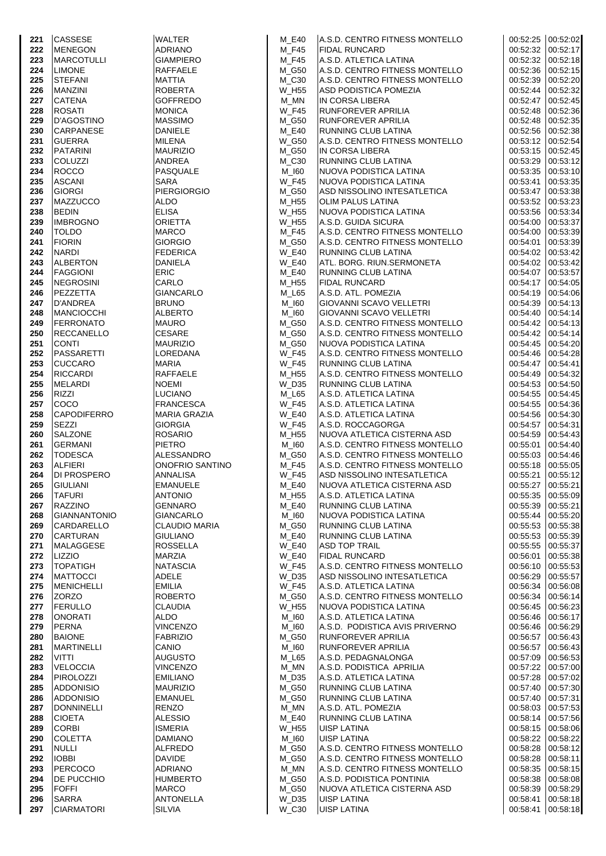| 221        | <b>CASSESE</b>                    | <b>WALTER</b>                           | M E40                        | A.S.D. CENTRO FITNESS MONTELLO                           | 00:52:25 00:52:02                      |                                        |
|------------|-----------------------------------|-----------------------------------------|------------------------------|----------------------------------------------------------|----------------------------------------|----------------------------------------|
| 222        | <b>MENEGON</b>                    | <b>ADRIANO</b>                          | M F45                        | <b>FIDAL RUNCARD</b>                                     | 00:52:32 00:52:17                      |                                        |
| 223        | <b>MARCOTULLI</b>                 | <b>GIAMPIERO</b>                        | M_F45                        | A.S.D. ATLETICA LATINA                                   | 00:52:32 00:52:18                      |                                        |
| 224        | <b>LIMONE</b>                     | <b>RAFFAELE</b>                         | M_G50                        | A.S.D. CENTRO FITNESS MONTELLO                           | 00:52:36 00:52:15                      |                                        |
| 225        | <b>STEFANI</b>                    | <b>MATTIA</b>                           | M_C30                        | A.S.D. CENTRO FITNESS MONTELLO                           | 00:52:39 00:52:20                      |                                        |
| 226        | <b>MANZINI</b>                    | <b>ROBERTA</b>                          | <b>W_H55</b>                 | ASD PODISTICA POMEZIA                                    | 00:52:44 00:52:32                      |                                        |
| 227        | <b>CATENA</b>                     | <b>GOFFREDO</b>                         | $M_MN$                       | IN CORSA LIBERA                                          |                                        | 00:52:47 00:52:45                      |
| 228        | <b>ROSATI</b>                     | <b>MONICA</b>                           | <b>W_F45</b>                 | RUNFOREVER APRILIA                                       | 00:52:48 00:52:36                      |                                        |
| 229        | <b>D'AGOSTINO</b>                 | <b>MASSIMO</b>                          | M_G50                        | <b>RUNFOREVER APRILIA</b>                                | 00:52:48 00:52:35                      |                                        |
| 230        | <b>CARPANESE</b>                  | <b>DANIELE</b>                          | <b>M_E40</b>                 | RUNNING CLUB LATINA                                      | 00:52:56 00:52:38                      |                                        |
| 231        | <b>GUERRA</b>                     | <b>MILENA</b>                           | W_G50                        | A.S.D. CENTRO FITNESS MONTELLO                           | 00:53:12 00:52:54                      |                                        |
| 232        | <b>PATARINI</b>                   | <b>MAURIZIO</b>                         | M_G50                        | IN CORSA LIBERA                                          | 00:53:15 00:52:45                      |                                        |
| 233        | <b>COLUZZI</b>                    | ANDREA                                  | M C30                        | RUNNING CLUB LATINA                                      | 00:53:29 00:53:12                      |                                        |
| 234        | <b>ROCCO</b><br><b>ASCANI</b>     | <b>PASQUALE</b>                         | M_I60<br><b>W F45</b>        | NUOVA PODISTICA LATINA                                   | 00:53:35 00:53:10                      |                                        |
| 235<br>236 | <b>GIORGI</b>                     | SARA<br><b>PIERGIORGIO</b>              | M G50                        | NUOVA PODISTICA LATINA<br>ASD NISSOLINO INTESATLETICA    | 00:53:41 00:53:35<br>00:53:47 00:53:38 |                                        |
| 237        | <b>MAZZUCCO</b>                   | <b>ALDO</b>                             | M_H55                        | <b>OLIM PALUS LATINA</b>                                 | 00:53:52 00:53:23                      |                                        |
| 238        | <b>BEDIN</b>                      | <b>ELISA</b>                            | <b>W_H55</b>                 | NUOVA PODISTICA LATINA                                   | 00:53:56 00:53:34                      |                                        |
| 239        | <b>IMBROGNO</b>                   | <b>ORIETTA</b>                          | <b>W_H55</b>                 | A.S.D. GUIDA SICURA                                      | 00:54:00 00:53:37                      |                                        |
| 240        | <b>TOLDO</b>                      | <b>MARCO</b>                            | M F45                        | A.S.D. CENTRO FITNESS MONTELLO                           | 00:54:00 00:53:39                      |                                        |
| 241        | <b>FIORIN</b>                     | <b>GIORGIO</b>                          | M_G50                        | A.S.D. CENTRO FITNESS MONTELLO                           | 00:54:01 00:53:39                      |                                        |
| 242        | <b>NARDI</b>                      | <b>FEDERICA</b>                         | <b>W_E40</b>                 | RUNNING CLUB LATINA                                      | 00:54:02 00:53:42                      |                                        |
| 243        | <b>ALBERTON</b>                   | <b>DANIELA</b>                          | <b>W E40</b>                 | ATL. BORG. RIUN.SERMONETA                                | 00:54:02 00:53:42                      |                                        |
| 244        | <b>FAGGIONI</b>                   | <b>ERIC</b>                             | M E40                        | <b>RUNNING CLUB LATINA</b>                               | 00:54:07 00:53:57                      |                                        |
| 245        | <b>NEGROSINI</b>                  | CARLO                                   | M_H55                        | <b>FIDAL RUNCARD</b>                                     | 00:54:17 00:54:05                      |                                        |
| 246        | PEZZETTA                          | <b>GIANCARLO</b>                        | $M_L65$                      | A.S.D. ATL. POMEZIA                                      | 00:54:19 00:54:06                      |                                        |
| 247        | <b>D'ANDREA</b>                   | <b>BRUNO</b>                            | M 160                        | <b>GIOVANNI SCAVO VELLETRI</b>                           | 00:54:39 00:54:13                      |                                        |
| 248        | <b>MANCIOCCHI</b>                 | <b>ALBERTO</b>                          | M_I60                        | <b>GIOVANNI SCAVO VELLETRI</b>                           | 00:54:40 00:54:14                      |                                        |
| 249        | <b>FERRONATO</b>                  | <b>MAURO</b>                            | M G50                        | A.S.D. CENTRO FITNESS MONTELLO                           | 00:54:42 00:54:13                      |                                        |
| 250        | <b>RECCANELLO</b>                 | <b>CESARE</b>                           | M_G50                        | A.S.D. CENTRO FITNESS MONTELLO                           | 00:54:42 00:54:14                      |                                        |
| 251        | <b>CONTI</b>                      | <b>MAURIZIO</b>                         | M_G50                        | NUOVA PODISTICA LATINA                                   | 00:54:45 00:54:20                      |                                        |
| 252        | PASSARETTI                        | LOREDANA                                | <b>W_F45</b>                 | A.S.D. CENTRO FITNESS MONTELLO                           | 00:54:46 00:54:28                      |                                        |
| 253        | <b>CUCCARO</b>                    | <b>MARIA</b>                            | <b>W_F45</b>                 | <b>RUNNING CLUB LATINA</b>                               | 00:54:47 00:54:41                      |                                        |
| 254        | <b>RICCARDI</b>                   | <b>RAFFAELE</b>                         | M_H55                        | A.S.D. CENTRO FITNESS MONTELLO                           | 00:54:49 00:54:32                      |                                        |
| 255        | <b>MELARDI</b>                    | <b>NOEMI</b>                            | W D35                        | RUNNING CLUB LATINA                                      | 00:54:53 00:54:50                      |                                        |
| 256        | <b>RIZZI</b>                      | LUCIANO                                 | M_L65                        | A.S.D. ATLETICA LATINA                                   | 00:54:55 00:54:45                      |                                        |
| 257<br>258 | COCO<br><b>CAPODIFERRO</b>        | <b>FRANCESCA</b><br><b>MARIA GRAZIA</b> | <b>W_F45</b><br><b>W E40</b> | A.S.D. ATLETICA LATINA<br>A.S.D. ATLETICA LATINA         | 00:54:55 00:54:36<br>00:54:56 00:54:30 |                                        |
| 259        | <b>SEZZI</b>                      | <b>GIORGIA</b>                          | <b>W F45</b>                 | A.S.D. ROCCAGORGA                                        | 00:54:57 00:54:31                      |                                        |
| 260        | <b>SALZONE</b>                    | <b>ROSARIO</b>                          | M_H55                        | NUOVA ATLETICA CISTERNA ASD                              | 00:54:59 00:54:43                      |                                        |
| 261        | <b>GERMANI</b>                    | <b>PIETRO</b>                           | M 160                        | A.S.D. CENTRO FITNESS MONTELLO                           | 00:55:01 00:54:40                      |                                        |
| 262        | <b>TODESCA</b>                    | <b>ALESSANDRO</b>                       | M_G50                        | A.S.D. CENTRO FITNESS MONTELLO                           | 00:55:03 00:54:46                      |                                        |
| 263        | <b>ALFIERI</b>                    | <b>ONOFRIO SANTINO</b>                  | M F45                        | A.S.D. CENTRO FITNESS MONTELLO                           | 00:55:18 00:55:05                      |                                        |
| 264        | <b>DI PROSPERO</b>                | <b>ANNALISA</b>                         | <b>W_F45</b>                 | ASD NISSOLINO INTESATLETICA                              | 00:55:21 00:55:12                      |                                        |
| 265        | <b>GIULIANI</b>                   | <b>EMANUELE</b>                         | M E40                        | NUOVA ATLETICA CISTERNA ASD                              | 00:55:27 00:55:21                      |                                        |
| 266        | <b>TAFURI</b>                     | <b>ANTONIO</b>                          | M_H55                        | A.S.D. ATLETICA LATINA                                   |                                        | 00:55:35 00:55:09                      |
| 267        | <b>RAZZINO</b>                    | <b>GENNARO</b>                          | M_E40                        | RUNNING CLUB LATINA                                      | 00:55:39                               | 00:55:21                               |
| 268        | <b>GIANNANTONIO</b>               | <b>GIANCARLO</b>                        | M_I60                        | NUOVA PODISTICA LATINA                                   |                                        | 00:55:44 00:55:20                      |
| 269        | <b>CARDARELLO</b>                 | <b>CLAUDIO MARIA</b>                    | M_G50                        | RUNNING CLUB LATINA                                      | 00:55:53 00:55:38                      |                                        |
| 270        | <b>CARTURAN</b>                   | <b>GIULIANO</b>                         | M_E40                        | RUNNING CLUB LATINA                                      |                                        | 00:55:53 00:55:39                      |
| 271        | <b>MALAGGESE</b>                  | <b>ROSSELLA</b>                         | <b>W_E40</b>                 | <b>ASD TOP TRAIL</b>                                     |                                        | 00:55:55 00:55:37                      |
| 272        | <b>LIZZIO</b>                     | <b>MARZIA</b>                           | <b>W_E40</b>                 | <b>FIDAL RUNCARD</b>                                     |                                        | 00:56:01 00:55:38                      |
| 273        | <b>TOPATIGH</b>                   | <b>NATASCIA</b>                         | <b>W F45</b>                 | A.S.D. CENTRO FITNESS MONTELLO                           | 00:56:10                               | 00:55:53                               |
| 274        | <b>MATTOCCI</b>                   | ADELE                                   | W_D35                        | ASD NISSOLINO INTESATLETICA                              | 00:56:29                               | 00:55:57                               |
| 275<br>276 | <b>MENICHELLI</b><br><b>ZORZO</b> | <b>EMILIA</b><br><b>ROBERTO</b>         | <b>W F45</b><br>M_G50        | A.S.D. ATLETICA LATINA<br>A.S.D. CENTRO FITNESS MONTELLO |                                        | 00:56:34 00:56:08<br>00:56:34 00:56:14 |
| 277        | <b>FERULLO</b>                    | <b>CLAUDIA</b>                          | W H55                        | <b>NUOVA PODISTICA LATINA</b>                            |                                        | 00:56:45 00:56:23                      |
| 278        | <b>ONORATI</b>                    | <b>ALDO</b>                             | M_I60                        | A.S.D. ATLETICA LATINA                                   |                                        | 00:56:46 00:56:17                      |
| 279        | <b>PERNA</b>                      | <b>VINCENZO</b>                         | M_I60                        | A.S.D. PODISTICA AVIS PRIVERNO                           |                                        | 00:56:46 00:56:29                      |
| 280        | <b>BAIONE</b>                     | <b>FABRIZIO</b>                         | M_G50                        | RUNFOREVER APRILIA                                       |                                        | 00:56:57 00:56:43                      |
| 281        | <b>MARTINELLI</b>                 | CANIO                                   | M_I60                        | <b>RUNFOREVER APRILIA</b>                                |                                        | 00:56:57 00:56:43                      |
| 282        | VITTI                             | AUGUSTO                                 | M_L65                        | A.S.D. PEDAGNALONGA                                      |                                        | 00:57:09 00:56:53                      |
| 283        | <b>VELOCCIA</b>                   | VINCENZO                                | M_MN                         | A.S.D. PODISTICA APRILIA                                 |                                        | 00:57:22 00:57:00                      |
| 284        | <b>PIROLOZZI</b>                  | <b>EMILIANO</b>                         | M D35                        | A.S.D. ATLETICA LATINA                                   |                                        | 00:57:28 00:57:02                      |
| 285        | <b>ADDONISIO</b>                  | <b>MAURIZIO</b>                         | M_G50                        | RUNNING CLUB LATINA                                      |                                        | 00:57:40 00:57:30                      |
| 286        | <b>ADDONISIO</b>                  | <b>EMANUEL</b>                          | M_G50                        | RUNNING CLUB LATINA                                      |                                        | 00:57:40 00:57:31                      |
| 287        | <b>DONNINELLI</b>                 | <b>RENZO</b>                            | M_MN                         | A.S.D. ATL. POMEZIA                                      |                                        | 00:58:03 00:57:53                      |
| 288        | <b>CIOETA</b>                     | <b>ALESSIO</b>                          | M_E40                        | RUNNING CLUB LATINA                                      |                                        | 00:58:14 00:57:56                      |
| 289        | <b>CORBI</b>                      | ISMERIA                                 | W H55                        | <b>UISP LATINA</b>                                       |                                        | 00:58:15 00:58:06                      |
| 290        | <b>COLETTA</b>                    | DAMIANO                                 | M_I60                        | <b>UISP LATINA</b>                                       |                                        | 00:58:22 00:58:22                      |
| 291        | <b>NULLI</b>                      | ALFREDO                                 | M_G50                        | A.S.D. CENTRO FITNESS MONTELLO                           |                                        | 00:58:28 00:58:12                      |
| 292        | <b>IOBBI</b>                      | <b>DAVIDE</b>                           | M_G50                        | A.S.D. CENTRO FITNESS MONTELLO                           |                                        | 00:58:28 00:58:11                      |
| 293        | <b>PERCOCO</b>                    | <b>ADRIANO</b>                          | M MN                         | A.S.D. CENTRO FITNESS MONTELLO                           |                                        | 00:58:35 00:58:15                      |
| 294<br>295 | <b>DE PUCCHIO</b><br><b>FOFFI</b> | <b>HUMBERTO</b><br><b>MARCO</b>         | M_G50<br>M_G50               | A.S.D. PODISTICA PONTINIA<br>NUOVA ATLETICA CISTERNA ASD |                                        | 00:58:38 00:58:08<br>00:58:39 00:58:29 |
| 296        | <b>SARRA</b>                      | <b>ANTONELLA</b>                        | W_D35                        | <b>UISP LATINA</b>                                       |                                        | 00:58:41 00:58:18                      |
| 297        | <b>CIARMATORI</b>                 | <b>SILVIA</b>                           | W_C30                        | <b>UISP LATINA</b>                                       | 00:58:41                               | 00:58:18                               |
|            |                                   |                                         |                              |                                                          |                                        |                                        |